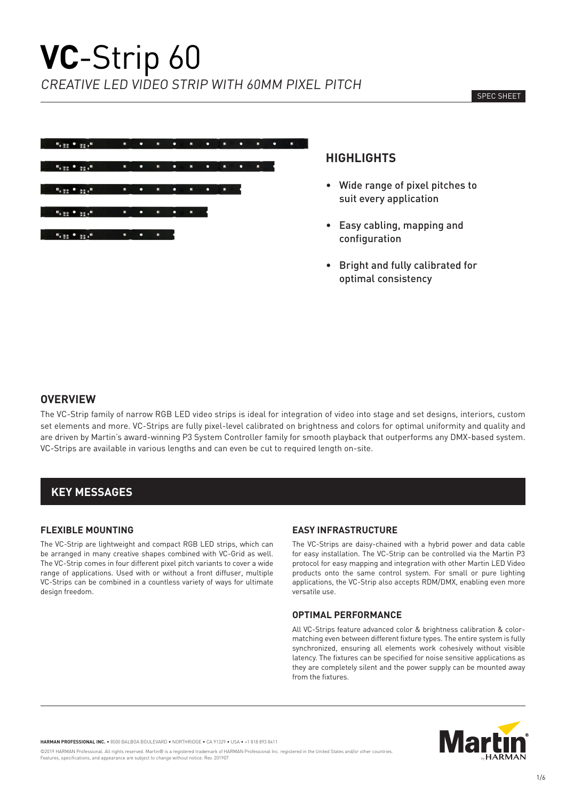

# **HIGHLIGHTS**

- Wide range of pixel pitches to suit every application
- Easy cabling, mapping and configuration
- Bright and fully calibrated for optimal consistency

### **OVERVIEW**

The VC-Strip family of narrow RGB LED video strips is ideal for integration of video into stage and set designs, interiors, custom set elements and more. VC-Strips are fully pixel-level calibrated on brightness and colors for optimal uniformity and quality and are driven by Martin's award-winning P3 System Controller family for smooth playback that outperforms any DMX-based system. VC-Strips are available in various lengths and can even be cut to required length on-site.

# **KEY MESSAGES**

#### **FLEXIBLE MOUNTING**

The VC-Strip are lightweight and compact RGB LED strips, which can be arranged in many creative shapes combined with VC-Grid as well. The VC-Strip comes in four different pixel pitch variants to cover a wide range of applications. Used with or without a front diffuser, multiple VC-Strips can be combined in a countless variety of ways for ultimate design freedom.

#### **EASY INFRASTRUCTURE**

The VC-Strips are daisy-chained with a hybrid power and data cable for easy installation. The VC-Strip can be controlled via the Martin P3 protocol for easy mapping and integration with other Martin LED Video products onto the same control system. For small or pure lighting applications, the VC-Strip also accepts RDM/DMX, enabling even more versatile use.

#### **OPTIMAL PERFORMANCE**

All VC-Strips feature advanced color & brightness calibration & colormatching even between different fixture types. The entire system is fully synchronized, ensuring all elements work cohesively without visible latency. The fixtures can be specified for noise sensitive applications as they are completely silent and the power supply can be mounted away from the fixtures.



**HARMAN PROFESSIONAL INC.** • 8500 BALBOA BOULEVARD • NORTHRIDGE • CA 91329 • USA • +1 818 893 8411

©2019 HARMAN Professional. All rights reserved. Martin® is a registered trademark of HARMAN Professional Inc. registered in the United States and/or other countries. Features, specifications, and appearance are subject to change without notice. Rev. 201907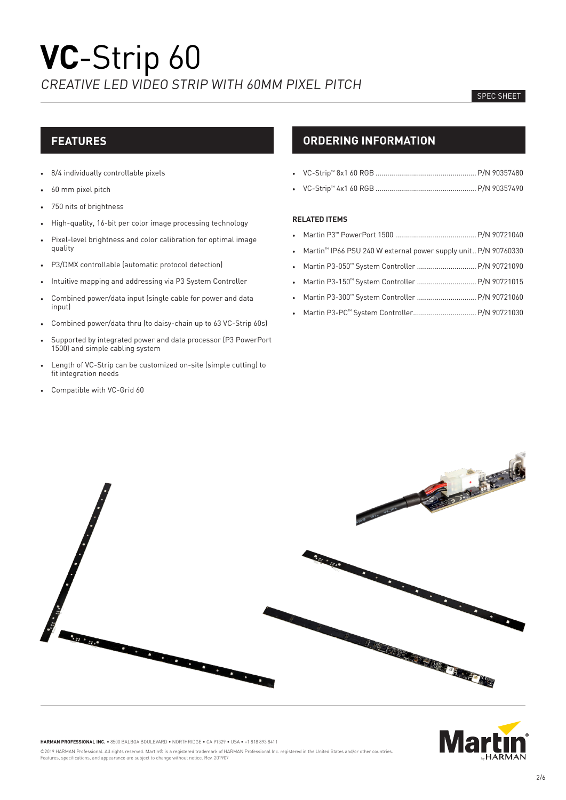#### SPEC SHEET

# **FEATURES**

- 8/4 individually controllable pixels
- 60 mm pixel pitch
- 750 nits of brightness
- High-quality, 16-bit per color image processing technology
- Pixel-level brightness and color calibration for optimal image quality
- P3/DMX controllable (automatic protocol detection)
- Intuitive mapping and addressing via P3 System Controller
- Combined power/data input (single cable for power and data input)
- Combined power/data thru (to daisy-chain up to 63 VC-Strip 60s)
- Supported by integrated power and data processor (P3 PowerPort 1500) and simple cabling system
- Length of VC-Strip can be customized on-site (simple cutting) to fit integration needs
- Compatible with VC-Grid 60

# **ORDERING INFORMATION**

• VC-Strip™ 4x1 60 RGB ...................................................P/N 90357490

#### **RELATED ITEMS**

- Martin P3™ PowerPort 1500 .........................................P/N 90721040
- Martin™ IP66 PSU 240 W external power supply unit..P/N 90760330
- Martin P3-050™ System Controller ..............................P/N 90721090
- Martin P3-150™ System Controller ..............................P/N 90721015
- Martin P3-300™ System Controller .............................. P/N 90721060
- Martin P3-PC™ System Controller................................P/N 90721030





**HARMAN PROFESSIONAL INC.** • 8500 BALBOA BOULEVARD • NORTHRIDGE • CA 91329 • USA • +1 818 893 8411

©2019 HARMAN Professional. All rights reserved. Martin® is a registered trademark of HARMAN Professional Inc. registered in the United States and/or other countries. Features, specifications, and appearance are subject to change without notice. Rev. 201907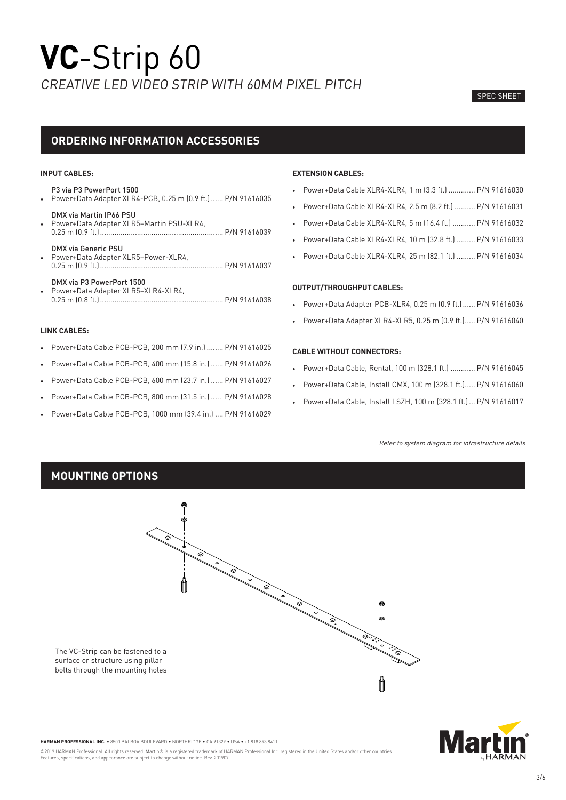#### SPEC SHEET

# **ORDERING INFORMATION ACCESSORIES**

#### **INPUT CABLES:**

- P3 via P3 PowerPort 1500
- Power+Data Adapter XLR4-PCB, 0.25 m (0.9 ft.)...... P/N 91616035
- DMX via Martin IP66 PSU • Power+Data Adapter XLR5+Martin PSU-XLR4, 0.25 m (0.9 ft.)............................................................ P/N 91616039
- DMX via Generic PSU • Power+Data Adapter XLR5+Power-XLR4, 0.25 m (0.9 ft.)............................................................ P/N 91616037
- DMX via P3 PowerPort 1500 • Power+Data Adapter XLR5+XLR4-XLR4,
- 0.25 m (0.8 ft.)............................................................ P/N 91616038

#### **LINK CABLES:**

- Power+Data Cable PCB-PCB, 200 mm (7.9 in.) ........ P/N 91616025
- Power+Data Cable PCB-PCB, 400 mm (15.8 in.) ...... P/N 91616026
- Power+Data Cable PCB-PCB, 600 mm (23.7 in.) ...... P/N 91616027
- Power+Data Cable PCB-PCB, 800 mm (31.5 in.) ..... P/N 91616028
- Power+Data Cable PCB-PCB, 1000 mm (39.4 in.) .... P/N 91616029

#### **EXTENSION CABLES:**

- Power+Data Cable XLR4-XLR4, 1 m (3.3 ft.) ............. P/N 91616030
- Power+Data Cable XLR4-XLR4, 2.5 m (8.2 ft.) .......... P/N 91616031
- Power+Data Cable XLR4-XLR4, 5 m (16.4 ft.) ........... P/N 91616032
- Power+Data Cable XLR4-XLR4, 10 m (32.8 ft.) ......... P/N 91616033
- Power+Data Cable XLR4-XLR4, 25 m (82.1 ft.) ......... P/N 91616034

#### **OUTPUT/THROUGHPUT CABLES:**

- Power+Data Adapter PCB-XLR4, 0.25 m (0.9 ft.)...... P/N 91616036
- Power+Data Adapter XLR4-XLR5, 0.25 m (0.9 ft.)..... P/N 91616040

#### **CABLE WITHOUT CONNECTORS:**

- Power+Data Cable, Rental, 100 m (328.1 ft.) ............ P/N 91616045
- Power+Data Cable, Install CMX, 100 m (328.1 ft.)..... P/N 91616060
- Power+Data Cable, Install LSZH, 100 m (328.1 ft.)... P/N 91616017

Refer to system diagram for infrastructure details

# **MOUNTING OPTIONS**





**HARMAN PROFESSIONAL INC.** • 8500 BALBOA BOULEVARD • NORTHRIDGE • CA 91329 • USA • +1 818 893 8411

©2019 HARMAN Professional. All rights reserved. Martin® is a registered trademark of HARMAN Professional Inc. registered in the United States and/or other countries. Features, specifications, and appearance are subject to change without notice. Rev. 201907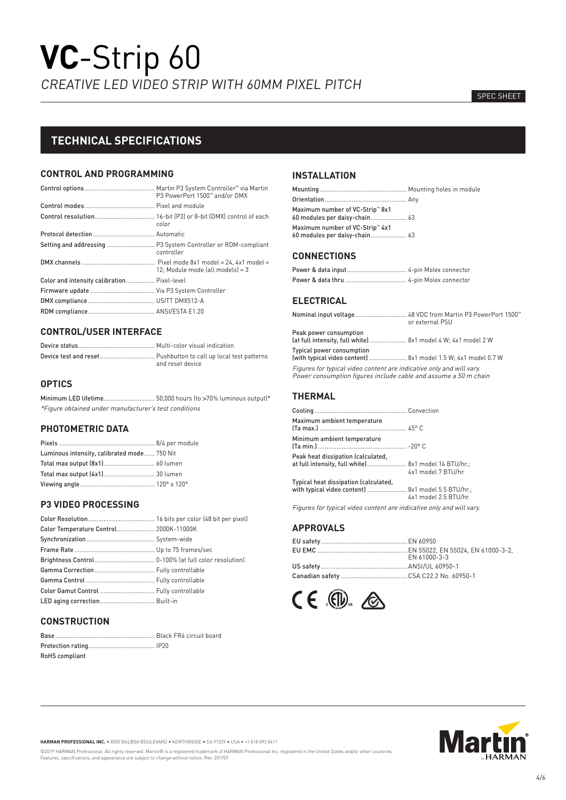#### SPEC SHEET

# **TECHNICAL SPECIFICATIONS**

### **CONTROL AND PROGRAMMING**

|                                             | P3 PowerPort 1500™ and/or DMX    |
|---------------------------------------------|----------------------------------|
|                                             |                                  |
|                                             | color                            |
|                                             |                                  |
|                                             | controller                       |
|                                             | 12: Module mode (all models) = 3 |
| Color and intensity calibration Pixel-level |                                  |
|                                             |                                  |
|                                             |                                  |
|                                             |                                  |

## **CONTROL/USER INTERFACE**

| and reset device |
|------------------|

## **OPTICS**

Minimum LED lifetime.............................. 50,000 hours (to >70% luminous output)\* \*Figure obtained under manufacturer's test conditions

#### **PHOTOMETRIC DATA**

| Luminous intensity, calibrated mode 750 Nit |  |
|---------------------------------------------|--|
| Total max output (8x1) 60 lumen             |  |
| Total max output [4x1] 30 lumen             |  |
|                                             |  |

## **P3 VIDEO PROCESSING**

| Color Temperature Control 2000K-11000K  |  |
|-----------------------------------------|--|
|                                         |  |
|                                         |  |
|                                         |  |
|                                         |  |
|                                         |  |
| Color Gamut Control  Fully controllable |  |
| LED aging correction Built-in           |  |

## **CONSTRUCTION**

| RoHS compliant |  |
|----------------|--|

## **INSTALLATION**

| Maximum number of VC-Strip <sup>™</sup> 8x1 |  |
|---------------------------------------------|--|
| Maximum number of VC-Strip <sup>™</sup> 4x1 |  |

### **CONNECTIONS**

## **ELECTRICAL**

|                                                                                                                                         | or external PSU |
|-----------------------------------------------------------------------------------------------------------------------------------------|-----------------|
| Peak power consumption<br>(at full intensity, full white) 8x1 model 4 W; 4x1 model 2 W                                                  |                 |
| Typical power consumption<br>[with typical video content]  8x1 model 1.5 W; 4x1 model 0.7 W                                             |                 |
| Figures for typical video content are indicative only and will vary.<br>Power consumption figures include cable and assume a 50 m chain |                 |

## **THERMAL**

| Maximum ambient temperature                                                                  |                       |
|----------------------------------------------------------------------------------------------|-----------------------|
| Minimum ambient temperature                                                                  |                       |
| Peak heat dissipation (calculated,<br>at full intensity, full white)  8x1 model 14 BTU/hr.;  | 4x1 model 7 BTU/hr.   |
| Typical heat dissipation (calculated,<br>with typical video content]  8x1 model 5.5 BTU/hr.; | 4x1 model 2.5 BTU/hr. |

Figures for typical video content are indicative only and will vary.

## **APPROVALS**

| FN 61000-3-3 |
|--------------|
|              |
|              |





**HARMAN PROFESSIONAL INC.** • 8500 BALBOA BOULEVARD • NORTHRIDGE • CA 91329 • USA • +1 818 893 8411

©2019 HARMAN Professional. All rights reserved. Martin® is a registered trademark of HARMAN Professional Inc. registered in the United States and/or other countries.<br>Features, specifications, and appearance are subject to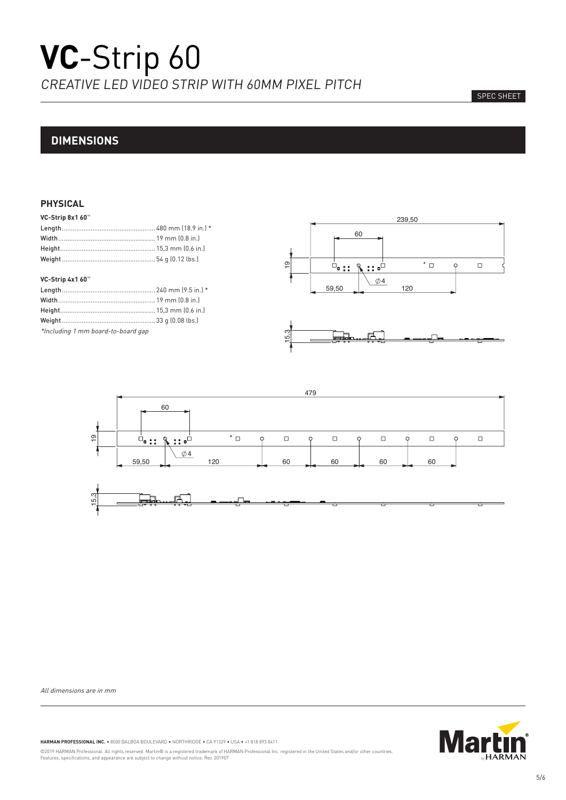#### SPEC SHEET

# **DIMENSIONS**

## **PHYSICAL**

| VC-Strip 8x1 60™ |  |
|------------------|--|
|                  |  |

#### **VC-Strip 4x1 60**™

| $*$ lnoluding 1 mm honed to board gan |  |
|---------------------------------------|--|

\*Including 1 mm board-to-board gap







All dimensions are in mm



**HARMAN PROFESSIONAL INC.** • 8500 BALBOA BOULEVARD • NORTHRIDGE • CA 91329 • USA • +1 818 893 8411

©2019 HARMAN Professional. All rights reserved. Martin® is a registered trademark of HARMAN Professional Inc. registered in the United States and/or other countries.<br>Features, specifications, and appearance are subject to